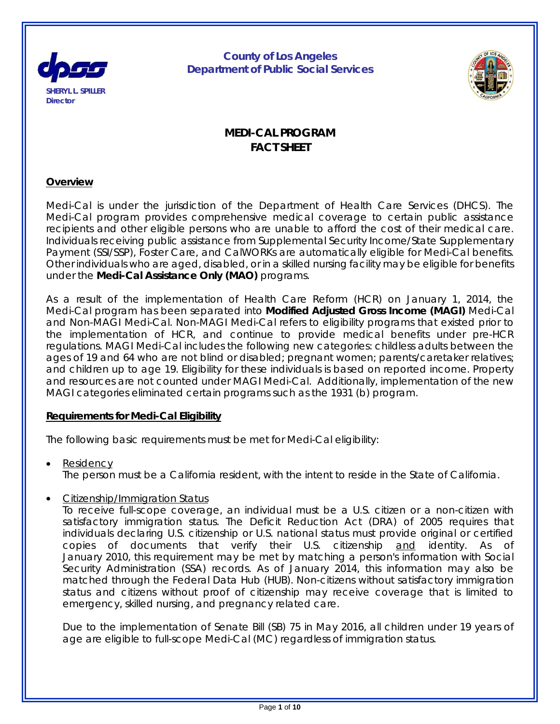

*County of Los Angeles Department of Public Social Services*



# **MEDI-CAL PROGRAM FACT SHEET**

#### **Overview**

Medi-Cal is under the jurisdiction of the Department of Health Care Services (DHCS). The Medi-Cal program provides comprehensive medical coverage to certain public assistance recipients and other eligible persons who are unable to afford the cost of their medical care. Individuals receiving public assistance from Supplemental Security Income/State Supplementary Payment (SSI/SSP), Foster Care, and CalWORKs are automatically eligible for Medi-Cal benefits. Other individuals who are aged, disabled, or in a skilled nursing facility may be eligible for benefits under the **Medi-Cal Assistance Only (MAO)** programs.

As a result of the implementation of Health Care Reform (HCR) on January 1, 2014, the Medi-Cal program has been separated into **Modified Adjusted Gross Income (MAGI)** Medi-Cal and Non-MAGI Medi-Cal. Non-MAGI Medi-Cal refers to eligibility programs that existed prior to the implementation of HCR, and continue to provide medical benefits under pre-HCR regulations. MAGI Medi-Cal includes the following new categories: childless adults between the ages of 19 and 64 who are not blind or disabled; pregnant women; parents/caretaker relatives; and children up to age 19. Eligibility for these individuals is based on reported income. Property and resources are not counted under MAGI Medi-Cal. Additionally, implementation of the new MAGI categories eliminated certain programs such as the 1931 (b) program.

#### **Requirements for Medi-Cal Eligibility**

The following basic requirements must be met for Medi-Cal eligibility:

• Residency

The person must be a California resident, with the intent to reside in the State of California.

• Citizenship/Immigration Status

To receive full-scope coverage, an individual must be a U.S. citizen or a non-citizen with satisfactory immigration status. The Deficit Reduction Act (DRA) of 2005 requires that individuals declaring U.S. citizenship or U.S. national status must provide original or certified copies of documents that verify their U.S. citizenship and identity. As of January 2010, this requirement may be met by matching a person's information with Social Security Administration (SSA) records. As of January 2014, this information may also be matched through the Federal Data Hub (HUB). Non-citizens without satisfactory immigration status and citizens without proof of citizenship may receive coverage that is limited to emergency, skilled nursing, and pregnancy related care.

Due to the implementation of Senate Bill (SB) 75 in May 2016, all children under 19 years of age are eligible to full-scope Medi-Cal (MC) regardless of immigration status.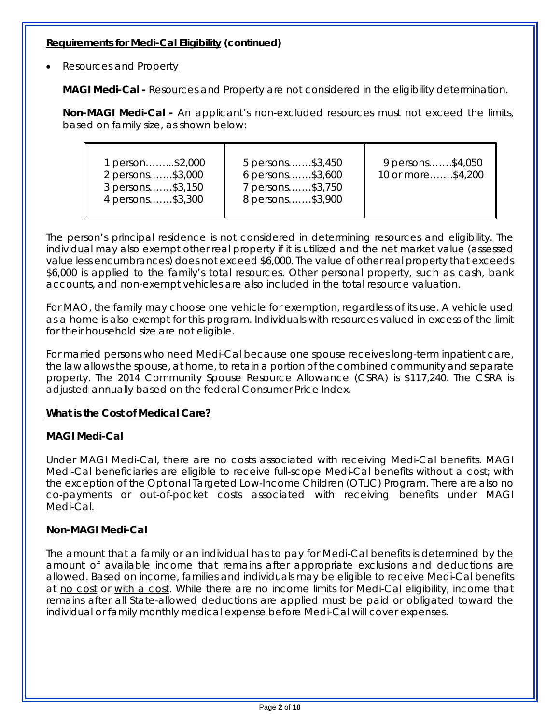# **Requirements for Medi-Cal Eligibility (continued)**

#### • Resources and Property

**MAGI Medi-Cal -** Resources and Property are not considered in the eligibility determination.

**Non-MAGI Medi-Cal -** An applicant's non-excluded resources must not exceed the limits, based on family size, as shown below:

| 1 person\$2,000<br>2 persons\$3,000<br>3 persons\$3,150<br>4 persons\$3,300 | 5 persons\$3,450<br>6 persons\$3,600<br>7 persons\$3,750<br>8 persons\$3,900 | 9 persons\$4,050<br>10 or more\$4,200 |
|-----------------------------------------------------------------------------|------------------------------------------------------------------------------|---------------------------------------|
|                                                                             |                                                                              |                                       |

The person's principal residence is not considered in determining resources and eligibility. The individual may also exempt other real property if it is utilized and the net market value (assessed value less encumbrances) does not exceed \$6,000. The value of other real property that exceeds \$6,000 is applied to the family's total resources. Other personal property, such as cash, bank accounts, and non-exempt vehicles are also included in the total resource valuation.

For MAO, the family may choose one vehicle for exemption, regardless of its use. A vehicle used as a home is also exempt for this program. Individuals with resources valued in excess of the limit for their household size are not eligible.

For married persons who need Medi-Cal because one spouse receives long-term inpatient care, the law allows the spouse, at home, to retain a portion of the combined community and separate property. The 2014 Community Spouse Resource Allowance (CSRA) is \$117,240. The CSRA is adjusted annually based on the federal Consumer Price Index.

#### **What is the Cost of Medical Care?**

# **MAGI Medi-Cal**

Under MAGI Medi-Cal, there are no costs associated with receiving Medi-Cal benefits. MAGI Medi-Cal beneficiaries are eligible to receive full-scope Medi-Cal benefits without a cost; with the exception of the Optional Targeted Low-Income Children (OTLIC) Program. There are also no co-payments or out-of-pocket costs associated with receiving benefits under MAGI Medi-Cal.

#### **Non-MAGI Medi-Cal**

The amount that a family or an individual has to pay for Medi-Cal benefits is determined by the amount of available income that remains after appropriate exclusions and deductions are allowed. Based on income, families and individuals may be eligible to receive Medi-Cal benefits at no cost or with a cost. While there are no income limits for Medi-Cal eligibility, income that remains after all State-allowed deductions are applied must be paid or obligated toward the individual or family monthly medical expense before Medi-Cal will cover expenses.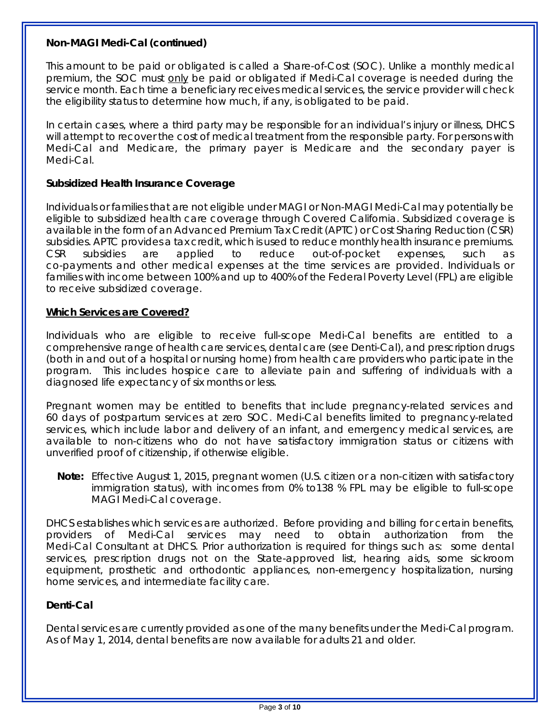# **Non-MAGI Medi-Cal (continued)**

This amount to be paid or obligated is called a Share-of-Cost (SOC). Unlike a monthly medical premium, the SOC must only be paid or obligated if Medi-Cal coverage is needed during the service month. Each time a beneficiary receives medical services, the service provider will check the eligibility status to determine how much, if any, is obligated to be paid.

In certain cases, where a third party may be responsible for an individual's injury or illness, DHCS will attempt to recover the cost of medical treatment from the responsible party. For persons with Medi-Cal and Medicare, the primary payer is Medicare and the secondary payer is Medi-Cal.

#### **Subsidized Health Insurance Coverage**

Individuals or families that are not eligible under MAGI or Non-MAGI Medi-Cal may potentially be eligible to subsidized health care coverage through Covered California. Subsidized coverage is available in the form of an Advanced Premium Tax Credit (APTC) or Cost Sharing Reduction (CSR) subsidies. APTC provides a tax credit, which is used to reduce monthly health insurance premiums. CSR subsidies are applied to reduce out-of-pocket expenses, such as co-payments and other medical expenses at the time services are provided. Individuals or families with income between 100% and up to 400% of the Federal Poverty Level (FPL) are eligible to receive subsidized coverage.

#### **Which Services are Covered?**

Individuals who are eligible to receive full-scope Medi-Cal benefits are entitled to a comprehensive range of health care services, dental care (see Denti-Cal), and prescription drugs (both in and out of a hospital or nursing home) from health care providers who participate in the program. This includes hospice care to alleviate pain and suffering of individuals with a diagnosed life expectancy of six months or less.

Pregnant women may be entitled to benefits that include pregnancy-related services and 60 days of postpartum services at zero SOC. Medi-Cal benefits limited to pregnancy-related services, which include labor and delivery of an infant, and emergency medical services, are available to non-citizens who do not have satisfactory immigration status or citizens with unverified proof of citizenship, if otherwise eligible.

**Note:** Effective August 1, 2015, pregnant women (U.S. citizen or a non-citizen with satisfactory immigration status), with incomes from 0% to138 % FPL may be eligible to full-scope MAGI Medi-Cal coverage.

DHCS establishes which services are authorized. Before providing and billing for certain benefits, providers of Medi-Cal services may need to obtain authorization from the Medi-Cal Consultant at DHCS. Prior authorization is required for things such as: some dental services, prescription drugs not on the State-approved list, hearing aids, some sickroom equipment, prosthetic and orthodontic appliances, non-emergency hospitalization, nursing home services, and intermediate facility care.

#### **Denti-Cal**

Dental services are currently provided as one of the many benefits under the Medi-Cal program. As of May 1, 2014, dental benefits are now available for adults 21 and older.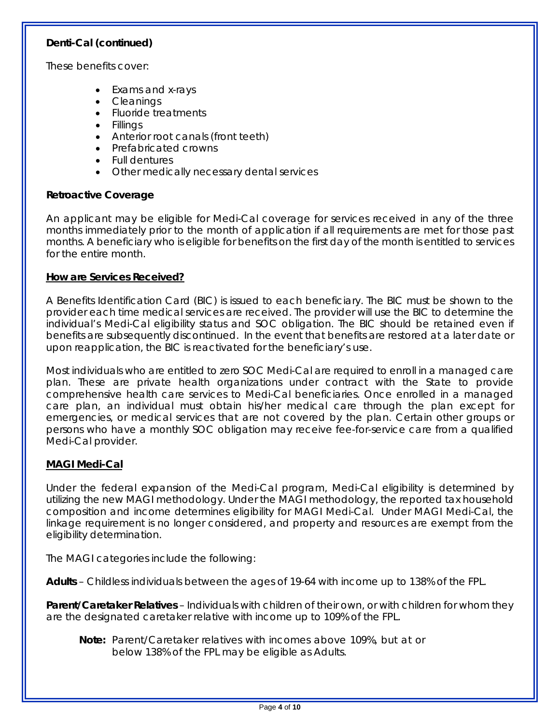# **Denti-Cal (continued)**

These benefits cover:

- Exams and x-rays
- Cleanings
- Fluoride treatments
- Fillings
- Anterior root canals (front teeth)
- Prefabricated crowns
- Full dentures
- Other medically necessary dental services

#### **Retroactive Coverage**

An applicant may be eligible for Medi-Cal coverage for services received in any of the three months immediately prior to the month of application if all requirements are met for those past months. A beneficiary who is eligible for benefits on the first day of the month is entitled to services for the entire month.

#### **How are Services Received?**

A Benefits Identification Card (BIC) is issued to each beneficiary. The BIC must be shown to the provider each time medical services are received. The provider will use the BIC to determine the individual's Medi-Cal eligibility status and SOC obligation. The BIC should be retained even if benefits are subsequently discontinued. In the event that benefits are restored at a later date or upon reapplication, the BIC is reactivated for the beneficiary's use.

Most individuals who are entitled to zero SOC Medi-Cal are required to enroll in a managed care plan. These are private health organizations under contract with the State to provide comprehensive health care services to Medi-Cal beneficiaries. Once enrolled in a managed care plan, an individual must obtain his/her medical care through the plan except for emergencies, or medical services that are not covered by the plan. Certain other groups or persons who have a monthly SOC obligation may receive fee-for-service care from a qualified Medi-Cal provider.

#### **MAGI Medi-Cal**

Under the federal expansion of the Medi-Cal program, Medi-Cal eligibility is determined by utilizing the new MAGI methodology. Under the MAGI methodology, the reported tax household composition and income determines eligibility for MAGI Medi-Cal. Under MAGI Medi-Cal, the linkage requirement is no longer considered, and property and resources are exempt from the eligibility determination.

The MAGI categories include the following:

**Adults** – Childless individuals between the ages of 19-64 with income up to 138% of the FPL.

**Parent/Caretaker Relatives** – Individuals with children of their own, or with children for whom they are the designated caretaker relative with income up to 109% of the FPL.

**Note:** Parent/Caretaker relatives with incomes above 109%, but at or below 138% of the FPL may be eligible as Adults.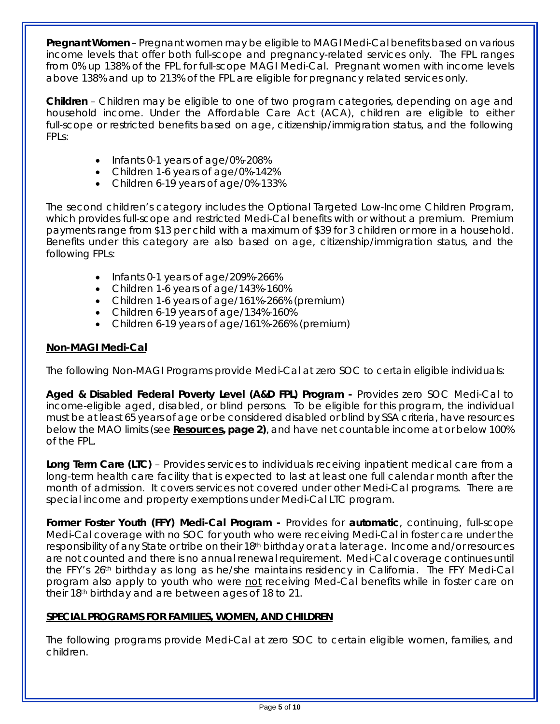**Pregnant Women** – Pregnant women may be eligible to MAGI Medi-Cal benefits based on various income levels that offer both full-scope and pregnancy-related services only. The FPL ranges from 0% up 138% of the FPL for full-scope MAGI Medi-Cal. Pregnant women with income levels above 138% and up to 213% of the FPL are eligible for pregnancy related services only.

**Children** – Children may be eligible to one of two program categories, depending on age and household income. Under the Affordable Care Act (ACA), children are eligible to either full-scope or restricted benefits based on age, citizenship/immigration status, and the following FPLs:

- Infants 0-1 years of age/0%-208%
- Children 1-6 years of age/0%-142%
- Children 6-19 years of age/0%-133%

The second children's category includes the Optional Targeted Low-Income Children Program, which provides full-scope and restricted Medi-Cal benefits with or without a premium. Premium payments range from \$13 per child with a maximum of \$39 for 3 children or more in a household. Benefits under this category are also based on age, citizenship/immigration status, and the following FPLs:

- Infants 0-1 years of age/209%-266%
- Children 1-6 years of age/143%-160%
- Children 1-6 years of age/161%-266% (premium)
- Children 6-19 years of age/134%-160%
- Children 6-19 years of age/161%-266% (premium)

#### **Non-MAGI Medi-Cal**

The following Non-MAGI Programs provide Medi-Cal at zero SOC to certain eligible individuals:

**Aged & Disabled Federal Poverty Level (A&D FPL) Program -** Provides zero SOC Medi-Cal to income-eligible aged, disabled, or blind persons. To be eligible for this program, the individual must be at least 65 years of age or be considered disabled or blind by SSA criteria, have resources below the MAO limits (see **Resources, page 2)**, and have net countable income at or below 100% of the FPL.

**Long Term Care (LTC)** – Provides services to individuals receiving inpatient medical care from a long-term health care facility that is expected to last at least one full calendar month after the month of admission. It covers services not covered under other Medi-Cal programs. There are special income and property exemptions under Medi-Cal LTC program.

**Former Foster Youth (FFY) Medi-Cal Program -** Provides for *automatic*, continuing, full-scope Medi-Cal coverage with no SOC for youth who were receiving Medi-Cal in foster care under the responsibility of any State or tribe on their 18th birthday or at a later age. Income and/or resources are not counted and there is no annual renewal requirement. Medi-Cal coverage continues until the FFY's 26<sup>th</sup> birthday as long as he/she maintains residency in California. The FFY Medi-Cal program also apply to youth who were not receiving Med-Cal benefits while in foster care on their 18th birthday and are between ages of 18 to 21.

#### **SPECIAL PROGRAMS FOR FAMILIES, WOMEN, AND CHILDREN**

The following programs provide Medi-Cal at zero SOC to certain eligible women, families, and children.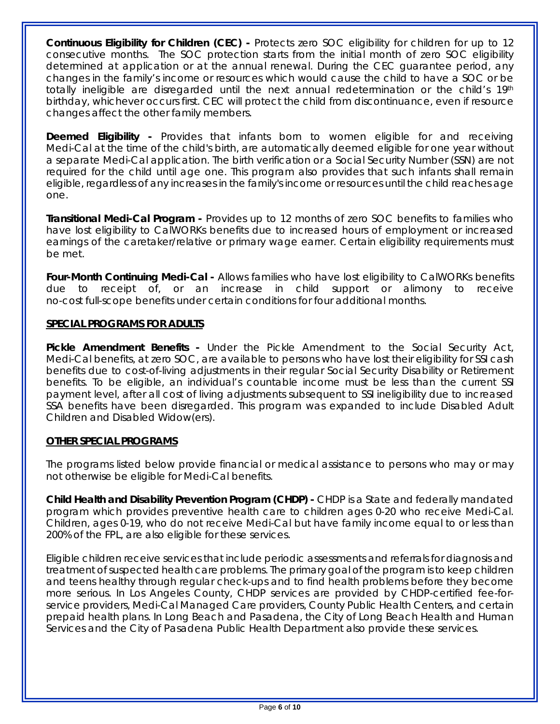**Continuous Eligibility for Children (CEC) -** Protects zero SOC eligibility for children for up to 12 consecutive months. The SOC protection starts from the initial month of zero SOC eligibility determined at application or at the annual renewal. During the CEC guarantee period, any changes in the family's income or resources which would cause the child to have a SOC or be totally ineligible are disregarded until the next annual redetermination or the child's 19th birthday, whichever occurs first. CEC will protect the child from discontinuance, even if resource changes affect the other family members.

**Deemed Eligibility -** Provides that infants born to women eligible for and receiving Medi-Cal at the time of the child's birth, are automatically deemed eligible for one year without a separate Medi-Cal application. The birth verification or a Social Security Number (SSN) are not required for the child until age one. This program also provides that such infants shall remain eligible, regardless of any increases in the family's income or resources until the child reaches age one.

**Transitional Medi-Cal Program -** Provides up to 12 months of zero SOC benefits to families who have lost eligibility to CalWORKs benefits due to increased hours of employment or increased earnings of the caretaker/relative or primary wage earner. Certain eligibility requirements must be met.

**Four-Month Continuing Medi-Cal -** Allows families who have lost eligibility to CalWORKs benefits due to receipt of, or an increase in child support or alimony to receive no-cost full-scope benefits under certain conditions for four additional months.

# **SPECIAL PROGRAMS FOR ADULTS**

**Pickle Amendment Benefits -** Under the Pickle Amendment to the Social Security Act, Medi-Cal benefits, at zero SOC, are available to persons who have lost their eligibility for SSI cash benefits due to cost-of-living adjustments in their regular Social Security Disability or Retirement benefits. To be eligible, an individual's countable income must be less than the current SSI payment level, after all cost of living adjustments subsequent to SSI ineligibility due to increased SSA benefits have been disregarded. This program was expanded to include Disabled Adult Children and Disabled Widow(ers).

#### **OTHER SPECIAL PROGRAMS**

The programs listed below provide financial or medical assistance to persons who may or may not otherwise be eligible for Medi-Cal benefits.

**Child Health and Disability Prevention Program (CHDP) -** CHDP is a State and federally mandated program which provides preventive health care to children ages 0-20 who receive Medi-Cal. Children, ages 0-19, who do not receive Medi-Cal but have family income equal to or less than 200% of the FPL, are also eligible for these services.

Eligible children receive services that include periodic assessments and referrals for diagnosis and treatment of suspected health care problems. The primary goal of the program is to keep children and teens healthy through regular check-ups and to find health problems before they become more serious. In Los Angeles County, CHDP services are provided by CHDP-certified fee-forservice providers, Medi-Cal Managed Care providers, County Public Health Centers, and certain prepaid health plans. In Long Beach and Pasadena, the City of Long Beach Health and Human Services and the City of Pasadena Public Health Department also provide these services.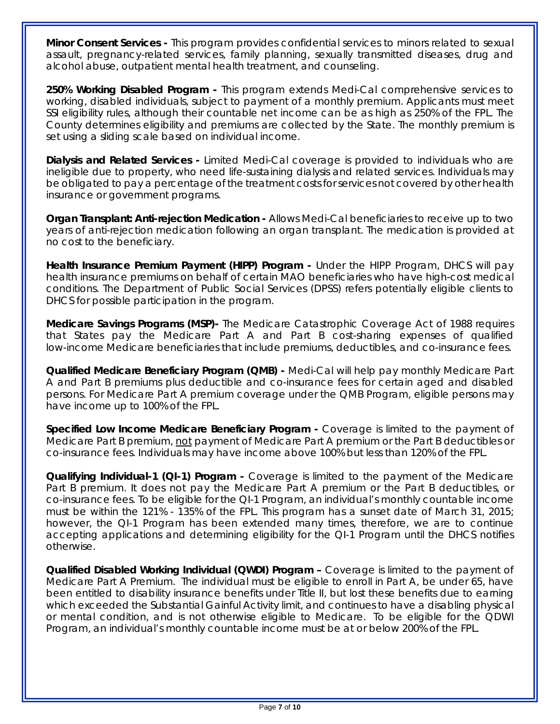**Minor Consent Services -** This program provides confidential services to minors related to sexual assault, pregnancy-related services, family planning, sexually transmitted diseases, drug and alcohol abuse, outpatient mental health treatment, and counseling.

**250% Working Disabled Program -** This program extends Medi-Cal comprehensive services to working, disabled individuals, subject to payment of a monthly premium. Applicants must meet SSI eligibility rules, although their countable net income can be as high as 250% of the FPL. The County determines eligibility and premiums are collected by the State. The monthly premium is set using a sliding scale based on individual income.

**Dialysis and Related Services -** Limited Medi-Cal coverage is provided to individuals who are ineligible due to property, who need life-sustaining dialysis and related services. Individuals may be obligated to pay a percentage of the treatment costs for services not covered by other health insurance or government programs.

**Organ Transplant: Anti-rejection Medication -** Allows Medi-Cal beneficiaries to receive up to two years of anti-rejection medication following an organ transplant. The medication is provided at no cost to the beneficiary.

**Health Insurance Premium Payment (HIPP) Program -** Under the HIPP Program, DHCS will pay health insurance premiums on behalf of certain MAO beneficiaries who have high-cost medical conditions. The Department of Public Social Services (DPSS) refers potentially eligible clients to DHCS for possible participation in the program.

**Medicare Savings Programs (MSP)-** The Medicare Catastrophic Coverage Act of 1988 requires that States pay the Medicare Part A and Part B cost-sharing expenses of qualified low-income Medicare beneficiaries that include premiums, deductibles, and co-insurance fees.

**Qualified Medicare Beneficiary Program (QMB) -** Medi-Cal will help pay monthly Medicare Part A and Part B premiums plus deductible and co-insurance fees for certain aged and disabled persons. For Medicare Part A premium coverage under the QMB Program, eligible persons may have income up to 100% of the FPL.

**Specified Low Income Medicare Beneficiary Program -** Coverage is limited to the payment of Medicare Part B premium, not payment of Medicare Part A premium or the Part B deductibles or co-insurance fees. Individuals may have income above 100% but less than 120% of the FPL.

**Qualifying Individual-1 (QI-1) Program -** Coverage is limited to the payment of the Medicare Part B premium. It does not pay the Medicare Part A premium or the Part B deductibles, or co-insurance fees. To be eligible for the QI-1 Program, an individual's monthly countable income must be within the 121% - 135% of the FPL. This program has a sunset date of March 31, 2015; however, the QI-1 Program has been extended many times, therefore, we are to continue accepting applications and determining eligibility for the QI-1 Program until the DHCS notifies otherwise.

**Qualified Disabled Working Individual (QWDI) Program –** Coverage is limited to the payment of Medicare Part A Premium. The individual must be eligible to enroll in Part A, be under 65, have been entitled to disability insurance benefits under Title II, but lost these benefits due to earning which exceeded the Substantial Gainful Activity limit, and continues to have a disabling physical or mental condition, and is not otherwise eligible to Medicare. To be eligible for the QDWI Program, an individual's monthly countable income must be at or below 200% of the FPL.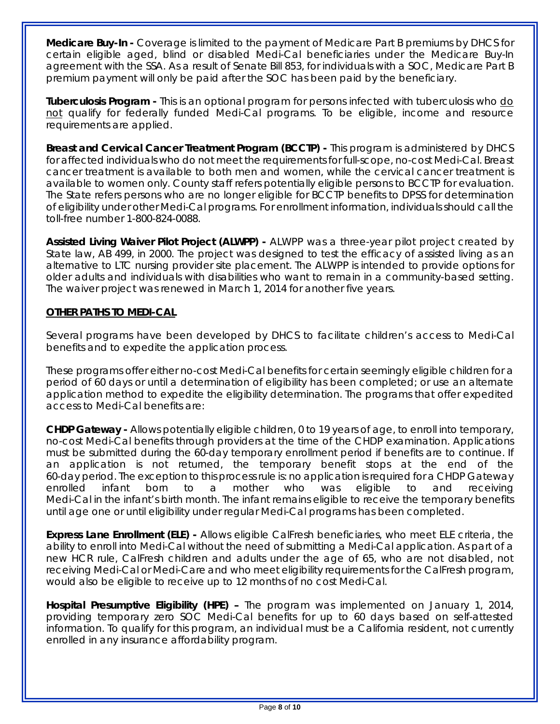**Medicare Buy-In -** Coverage is limited to the payment of Medicare Part B premiums by DHCS for certain eligible aged, blind or disabled Medi-Cal beneficiaries under the Medicare Buy-In agreement with the SSA. As a result of Senate Bill 853, for individuals with a SOC, Medicare Part B premium payment will only be paid after the SOC has been paid by the beneficiary.

**Tuberculosis Program -** This is an optional program for persons infected with tuberculosis who do not qualify for federally funded Medi-Cal programs. To be eligible, income and resource requirements are applied.

**Breast and Cervical Cancer Treatment Program (BCCTP) -** This program is administered by DHCS for affected individuals who do not meet the requirements for full-scope, no-cost Medi-Cal. Breast cancer treatment is available to both men and women, while the cervical cancer treatment is available to women only. County staff refers potentially eligible persons to BCCTP for evaluation. The State refers persons who are no longer eligible for BCCTP benefits to DPSS for determination of eligibility under other Medi-Cal programs. For enrollment information, individuals should call the toll-free number 1-800-824-0088.

**Assisted Living Waiver Pilot Project (ALWPP) -** ALWPP was a three-year pilot project created by State law, AB 499, in 2000. The project was designed to test the efficacy of assisted living as an alternative to LTC nursing provider site placement. The ALWPP is intended to provide options for older adults and individuals with disabilities who want to remain in a community-based setting. The waiver project was renewed in March 1, 2014 for another five years.

# **OTHER PATHS TO MEDI-CAL**

Several programs have been developed by DHCS to facilitate children's access to Medi-Cal benefits and to expedite the application process.

These programs offer either no-cost Medi-Cal benefits for certain seemingly eligible children for a period of 60 days or until a determination of eligibility has been completed; or use an alternate application method to expedite the eligibility determination. The programs that offer expedited access to Medi-Cal benefits are:

**CHDP Gateway -** Allows potentially eligible children, 0 to 19 years of age, to enroll into temporary, no-cost Medi-Cal benefits through providers at the time of the CHDP examination. Applications must be submitted during the 60-day temporary enrollment period if benefits are to continue. If an application is not returned, the temporary benefit stops at the end of the 60-day period. The exception to this process rule is: no application is required for a CHDP Gateway enrolled infant born to a mother who was eligible to and receiving Medi-Cal in the infant's birth month. The infant remains eligible to receive the temporary benefits until age one or until eligibility under regular Medi-Cal programs has been completed.

**Express Lane Enrollment (ELE) -** Allows eligible CalFresh beneficiaries, who meet ELE criteria, the ability to enroll into Medi-Cal without the need of submitting a Medi-Cal application. As part of a new HCR rule, CalFresh children and adults under the age of 65, who are not disabled, not receiving Medi-Cal or Medi-Care and who meet eligibility requirements for the CalFresh program, would also be eligible to receive up to 12 months of no cost Medi-Cal.

**Hospital Presumptive Eligibility (HPE) –** The program was implemented on January 1, 2014, providing temporary zero SOC Medi-Cal benefits for up to 60 days based on self-attested information. To qualify for this program, an individual must be a California resident, not currently enrolled in any insurance affordability program.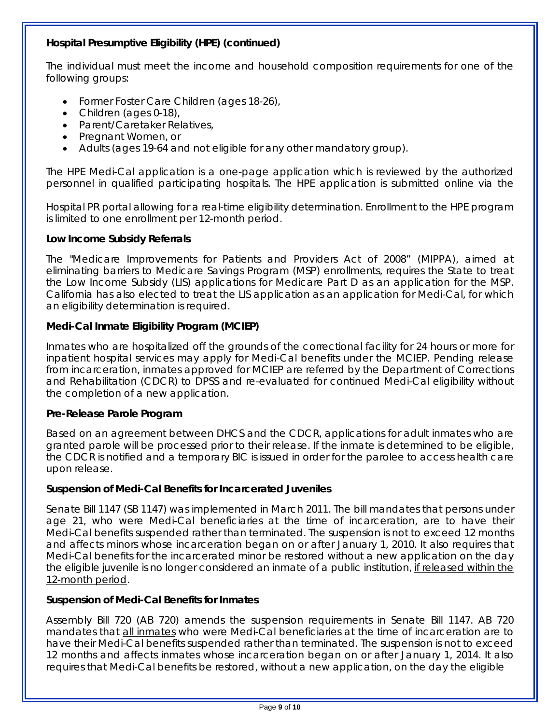# **Hospital Presumptive Eligibility (HPE) (continued)**

The individual must meet the income and household composition requirements for one of the following groups:

- Former Foster Care Children (ages 18-26),
- Children (ages 0-18),
- Parent/Caretaker Relatives,
- Pregnant Women, or
- Adults (ages 19-64 and not eligible for any other mandatory group).

The HPE Medi-Cal application is a one-page application which is reviewed by the authorized personnel in qualified participating hospitals. The HPE application is submitted online via the

Hospital PR portal allowing for a real-time eligibility determination. Enrollment to the HPE program is limited to one enrollment per 12-month period.

# **Low Income Subsidy Referrals**

The "Medicare Improvements for Patients and Providers Act of 2008" (MIPPA), aimed at eliminating barriers to Medicare Savings Program (MSP) enrollments, requires the State to treat the Low Income Subsidy (LIS) applications for Medicare Part D as an application for the MSP. California has also elected to treat the LIS application as an application for Medi-Cal, for which an eligibility determination is required.

# **Medi-Cal Inmate Eligibility Program (MCIEP)**

Inmates who are hospitalized off the grounds of the correctional facility for 24 hours or more for inpatient hospital services may apply for Medi-Cal benefits under the MCIEP. Pending release from incarceration, inmates approved for MCIEP are referred by the Department of Corrections and Rehabilitation (CDCR) to DPSS and re-evaluated for continued Medi-Cal eligibility without the completion of a new application.

#### **Pre-Release Parole Program**

Based on an agreement between DHCS and the CDCR, applications for adult inmates who are granted parole will be processed prior to their release. If the inmate is determined to be eligible, the CDCR is notified and a temporary BIC is issued in order for the parolee to access health care upon release.

#### **Suspension of Medi-Cal Benefits for Incarcerated Juveniles**

Senate Bill 1147 (SB 1147) was implemented in March 2011. The bill mandates that persons under age 21, who were Medi-Cal beneficiaries at the time of incarceration, are to have their Medi-Cal benefits suspended rather than terminated. The suspension is not to exceed 12 months and affects minors whose incarceration began on or after January 1, 2010. It also requires that Medi-Cal benefits for the incarcerated minor be restored without a new application on the day the eligible juvenile is no longer considered an inmate of a public institution, if released within the 12-month period.

#### **Suspension of Medi-Cal Benefits for Inmates**

Assembly Bill 720 (AB 720) amends the suspension requirements in Senate Bill 1147. AB 720 mandates that all inmates who were Medi-Cal beneficiaries at the time of incarceration are to have their Medi-Cal benefits suspended rather than terminated. The suspension is not to exceed 12 months and affects inmates whose incarceration began on or after January 1, 2014. It also requires that Medi-Cal benefits be restored, without a new application, on the day the eligible